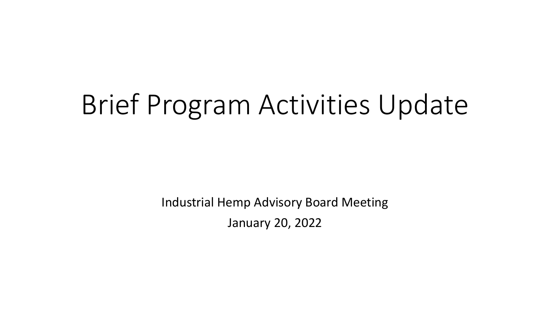# Brief Program Activities Update

Industrial Hemp Advisory Board Meeting January 20, 2022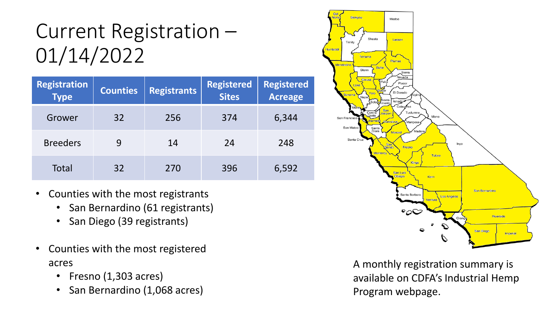#### Current Registration – 01/14/2022

| <b>Registration</b><br><b>Type</b> | <b>Counties</b> | <b>Registrants</b> | <b>Registered</b><br><b>Sites</b> | <b>Registered</b><br><b>Acreage</b> |
|------------------------------------|-----------------|--------------------|-----------------------------------|-------------------------------------|
| Grower                             | 32              | 256                | 374                               | 6,344                               |
| <b>Breeders</b>                    | 9               | 14                 | 24                                | 248                                 |
| Total                              | 32              | 270                | 396                               | 6,592                               |

- Counties with the most registrants
	- San Bernardino (61 registrants)
	- San Diego (39 registrants)
- Counties with the most registered acres
	- Fresno (1,303 acres)
	- San Bernardino (1,068 acres)



A monthly registration summary is available on CDFA's Industrial Hemp Program webpage.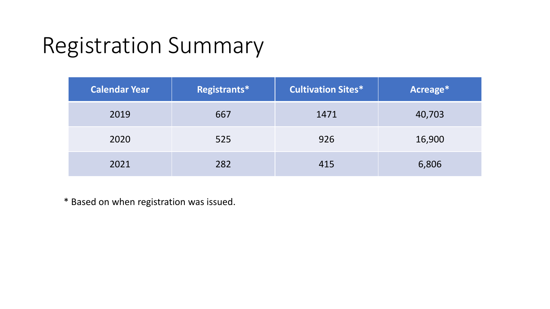### Registration Summary

| <b>Calendar Year</b> | Registrants* | <b>Cultivation Sites*</b> | Acreage* |
|----------------------|--------------|---------------------------|----------|
| 2019                 | 667          | 1471                      | 40,703   |
| 2020                 | 525          | 926                       | 16,900   |
| 2021                 | 282          | 415                       | 6,806    |

\* Based on when registration was issued.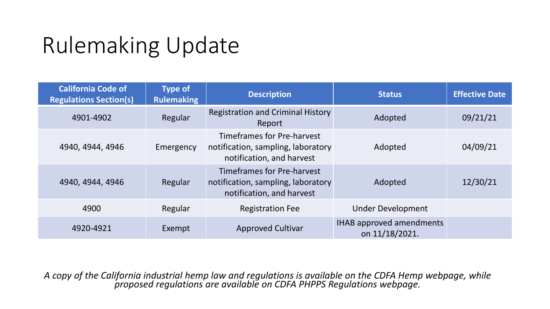## Rulemaking Update

| <b>California Code of</b><br><b>Regulations Section(s)</b> | <b>Type of</b><br><b>Rulemaking</b> | <b>Description</b>                                                                                   | <b>Status</b>                                     | <b>Effective Date</b> |
|------------------------------------------------------------|-------------------------------------|------------------------------------------------------------------------------------------------------|---------------------------------------------------|-----------------------|
| 4901-4902                                                  | Regular                             | <b>Registration and Criminal History</b><br>Report                                                   | Adopted                                           | 09/21/21              |
| 4940, 4944, 4946                                           | Emergency                           | <b>Timeframes for Pre-harvest</b><br>notification, sampling, laboratory<br>notification, and harvest | Adopted                                           | 04/09/21              |
| 4940, 4944, 4946                                           | Regular                             | <b>Timeframes for Pre-harvest</b><br>notification, sampling, laboratory<br>notification, and harvest | Adopted                                           | 12/30/21              |
| 4900                                                       | Regular                             | <b>Registration Fee</b>                                                                              | <b>Under Development</b>                          |                       |
| 4920-4921                                                  | Exempt                              | <b>Approved Cultivar</b>                                                                             | <b>IHAB approved amendments</b><br>on 11/18/2021. |                       |

*A copy of the California industrial hemp law and regulations is available on the CDFA Hemp webpage, while proposed regulations are available on CDFA PHPPS Regulations webpage.*